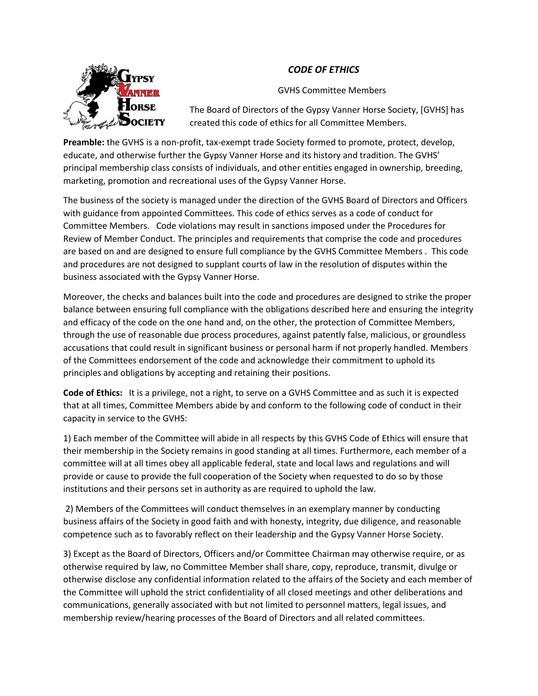## *CODE OF ETHICS*



GVHS Committee Members

The Board of Directors of the Gypsy Vanner Horse Society, [GVHS] has created this code of ethics for all Committee Members.

**Preamble:** the GVHS is a non-profit, tax-exempt trade Society formed to promote, protect, develop, educate, and otherwise further the Gypsy Vanner Horse and its history and tradition. The GVHS' principal membership class consists of individuals, and other entities engaged in ownership, breeding, marketing, promotion and recreational uses of the Gypsy Vanner Horse.

The business of the society is managed under the direction of the GVHS Board of Directors and Officers with guidance from appointed Committees. This code of ethics serves as a code of conduct for Committee Members. Code violations may result in sanctions imposed under the Procedures for Review of Member Conduct. The principles and requirements that comprise the code and procedures are based on and are designed to ensure full compliance by the GVHS Committee Members . This code and procedures are not designed to supplant courts of law in the resolution of disputes within the business associated with the Gypsy Vanner Horse.

Moreover, the checks and balances built into the code and procedures are designed to strike the proper balance between ensuring full compliance with the obligations described here and ensuring the integrity and efficacy of the code on the one hand and, on the other, the protection of Committee Members, through the use of reasonable due process procedures, against patently false, malicious, or groundless accusations that could result in significant business or personal harm if not properly handled. Members of the Committees endorsement of the code and acknowledge their commitment to uphold its principles and obligations by accepting and retaining their positions.

**Code of Ethics:** It is a privilege, not a right, to serve on a GVHS Committee and as such it is expected that at all times, Committee Members abide by and conform to the following code of conduct in their capacity in service to the GVHS:

1) Each member of the Committee will abide in all respects by this GVHS Code of Ethics will ensure that their membership in the Society remains in good standing at all times. Furthermore, each member of a committee will at all times obey all applicable federal, state and local laws and regulations and will provide or cause to provide the full cooperation of the Society when requested to do so by those institutions and their persons set in authority as are required to uphold the law.

2) Members of the Committees will conduct themselves in an exemplary manner by conducting business affairs of the Society in good faith and with honesty, integrity, due diligence, and reasonable competence such as to favorably reflect on their leadership and the Gypsy Vanner Horse Society.

3) Except as the Board of Directors, Officers and/or Committee Chairman may otherwise require, or as otherwise required by law, no Committee Member shall share, copy, reproduce, transmit, divulge or otherwise disclose any confidential information related to the affairs of the Society and each member of the Committee will uphold the strict confidentiality of all closed meetings and other deliberations and communications, generally associated with but not limited to personnel matters, legal issues, and membership review/hearing processes of the Board of Directors and all related committees.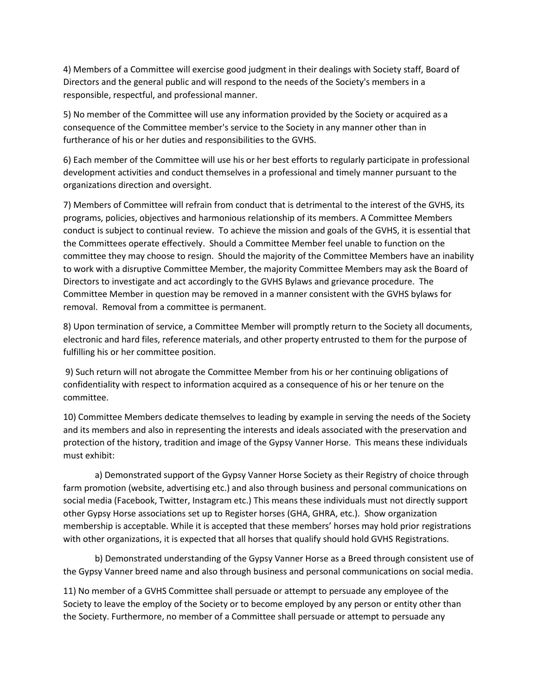4) Members of a Committee will exercise good judgment in their dealings with Society staff, Board of Directors and the general public and will respond to the needs of the Society's members in a responsible, respectful, and professional manner.

5) No member of the Committee will use any information provided by the Society or acquired as a consequence of the Committee member's service to the Society in any manner other than in furtherance of his or her duties and responsibilities to the GVHS.

6) Each member of the Committee will use his or her best efforts to regularly participate in professional development activities and conduct themselves in a professional and timely manner pursuant to the organizations direction and oversight.

7) Members of Committee will refrain from conduct that is detrimental to the interest of the GVHS, its programs, policies, objectives and harmonious relationship of its members. A Committee Members conduct is subject to continual review. To achieve the mission and goals of the GVHS, it is essential that the Committees operate effectively. Should a Committee Member feel unable to function on the committee they may choose to resign. Should the majority of the Committee Members have an inability to work with a disruptive Committee Member, the majority Committee Members may ask the Board of Directors to investigate and act accordingly to the GVHS Bylaws and grievance procedure. The Committee Member in question may be removed in a manner consistent with the GVHS bylaws for removal. Removal from a committee is permanent.

8) Upon termination of service, a Committee Member will promptly return to the Society all documents, electronic and hard files, reference materials, and other property entrusted to them for the purpose of fulfilling his or her committee position.

9) Such return will not abrogate the Committee Member from his or her continuing obligations of confidentiality with respect to information acquired as a consequence of his or her tenure on the committee.

10) Committee Members dedicate themselves to leading by example in serving the needs of the Society and its members and also in representing the interests and ideals associated with the preservation and protection of the history, tradition and image of the Gypsy Vanner Horse. This means these individuals must exhibit:

a) Demonstrated support of the Gypsy Vanner Horse Society as their Registry of choice through farm promotion (website, advertising etc.) and also through business and personal communications on social media (Facebook, Twitter, Instagram etc.) This means these individuals must not directly support other Gypsy Horse associations set up to Register horses (GHA, GHRA, etc.). Show organization membership is acceptable. While it is accepted that these members' horses may hold prior registrations with other organizations, it is expected that all horses that qualify should hold GVHS Registrations.

b) Demonstrated understanding of the Gypsy Vanner Horse as a Breed through consistent use of the Gypsy Vanner breed name and also through business and personal communications on social media.

11) No member of a GVHS Committee shall persuade or attempt to persuade any employee of the Society to leave the employ of the Society or to become employed by any person or entity other than the Society. Furthermore, no member of a Committee shall persuade or attempt to persuade any